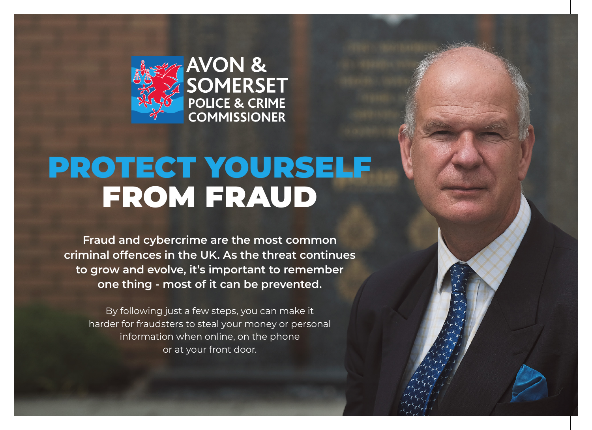

# **AVON &<br>SOMERSET<br>POLICE & CRIME COMMISSIONER**

### PROTECT YOURSELF FROM FRAUD

**Fraud and cybercrime are the most common criminal offences in the UK. As the threat continues to grow and evolve, it's important to remember one thing - most of it can be prevented.**

By following just a few steps, you can make it harder for fraudsters to steal your money or personal information when online, on the phone or at your front door.